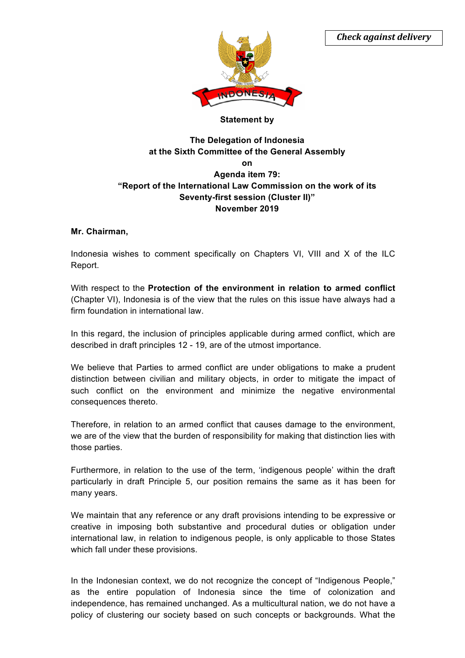

## **Statement by**

# **The Delegation of Indonesia at the Sixth Committee of the General Assembly on Agenda item 79: "Report of the International Law Commission on the work of its Seventy-first session (Cluster II)" November 2019**

## **Mr. Chairman,**

Indonesia wishes to comment specifically on Chapters VI, VIII and X of the ILC Report.

With respect to the **Protection of the environment in relation to armed conflict** (Chapter VI), Indonesia is of the view that the rules on this issue have always had a firm foundation in international law.

In this regard, the inclusion of principles applicable during armed conflict, which are described in draft principles 12 - 19, are of the utmost importance.

We believe that Parties to armed conflict are under obligations to make a prudent distinction between civilian and military objects, in order to mitigate the impact of such conflict on the environment and minimize the negative environmental consequences thereto.

Therefore, in relation to an armed conflict that causes damage to the environment, we are of the view that the burden of responsibility for making that distinction lies with those parties.

Furthermore, in relation to the use of the term, 'indigenous people' within the draft particularly in draft Principle 5, our position remains the same as it has been for many years.

We maintain that any reference or any draft provisions intending to be expressive or creative in imposing both substantive and procedural duties or obligation under international law, in relation to indigenous people, is only applicable to those States which fall under these provisions.

In the Indonesian context, we do not recognize the concept of "Indigenous People," as the entire population of Indonesia since the time of colonization and independence, has remained unchanged. As a multicultural nation, we do not have a policy of clustering our society based on such concepts or backgrounds. What the